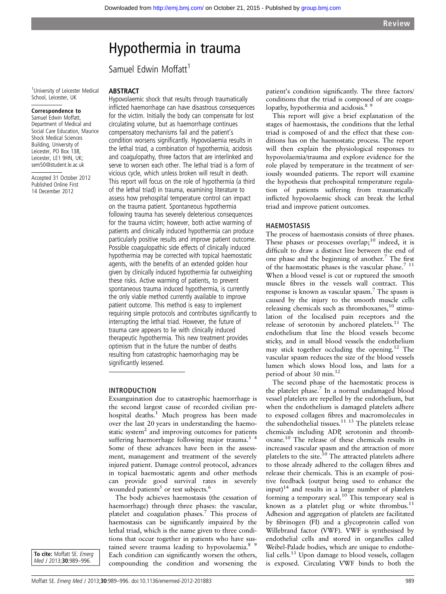# Hypothermia in trauma

Samuel Edwin Moffatt<sup>1</sup>

<sup>1</sup> University of Leicester Medical School, Leicester, UK

#### Correspondence to

Samuel Edwin Moffatt, Department of Medical and Social Care Education, Maurice Shock Medical Sciences Building, University of Leicester, PO Box 138. Leicester, LE1 9HN, UK; sem50@student.le.ac.uk

Accepted 31 October 2012 Published Online First 14 December 2012

#### ABSTRACT

Hypovolaemic shock that results through traumatically inflicted haemorrhage can have disastrous consequences for the victim. Initially the body can compensate for lost circulating volume, but as haemorrhage continues compensatory mechanisms fail and the patient's condition worsens significantly. Hypovolaemia results in the lethal triad, a combination of hypothermia, acidosis and coagulopathy, three factors that are interlinked and serve to worsen each other. The lethal triad is a form of vicious cycle, which unless broken will result in death. This report will focus on the role of hypothermia (a third of the lethal triad) in trauma, examining literature to assess how prehospital temperature control can impact on the trauma patient. Spontaneous hypothermia following trauma has severely deleterious consequences for the trauma victim; however, both active warming of patients and clinically induced hypothermia can produce particularly positive results and improve patient outcome. Possible coagulopathic side effects of clinically induced hypothermia may be corrected with topical haemostatic agents, with the benefits of an extended golden hour given by clinically induced hypothermia far outweighing these risks. Active warming of patients, to prevent spontaneous trauma induced hypothermia, is currently the only viable method currently available to improve patient outcome. This method is easy to implement requiring simple protocols and contributes significantly to interrupting the lethal triad. However, the future of trauma care appears to lie with clinically induced therapeutic hypothermia. This new treatment provides optimism that in the future the number of deaths resulting from catastrophic haemorrhaging may be significantly lessened.

#### INTRODUCTION

Exsanguination due to catastrophic haemorrhage is the second largest cause of recorded civilian prehospital deaths.<sup>1</sup> Much progress has been made over the last 20 years in understanding the haemostatic system $<sup>2</sup>$  and improving outcomes for patients</sup> suffering haemorrhage following major trauma.<sup>3</sup><sup>4</sup> Some of these advances have been in the assessment, management and treatment of the severely injured patient. Damage control protocol, advances in topical haemostatic agents and other methods can provide good survival rates in severely wounded patients<sup>5</sup> or test subjects.<sup>6</sup>

The body achieves haemostasis (the cessation of haemorrhage) through three phases: the vascular, platelet and coagulation phases.<sup>7</sup> This process of haemostasis can be significantly impaired by the lethal triad, which is the name given to three conditions that occur together in patients who have sustained severe trauma leading to hypovolaemia.<sup>8 9</sup> Each condition can significantly worsen the others, compounding the condition and worsening the patient's condition significantly. The three factors/ conditions that the triad is composed of are coagulopathy, hypothermia and acidosis.<sup>8</sup><sup>9</sup>

This report will give a brief explanation of the stages of haemostasis, the conditions that the lethal triad is composed of and the effect that these conditions has on the haemostatic process. The report will then explain the physiological responses to hypovolaemia/trauma and explore evidence for the role played by temperature in the treatment of seriously wounded patients. The report will examine the hypothesis that prehospital temperature regulation of patients suffering from traumatically inflicted hypovolaemic shock can break the lethal triad and improve patient outcomes.

#### HAEMOSTASIS

The process of haemostasis consists of three phases. These phases or processes overlap; $^{10}$  indeed, it is difficult to draw a distinct line between the end of one phase and the beginning of another.<sup>7</sup> The first of the haemostatic phases is the vascular phase. $711$ When a blood vessel is cut or ruptured the smooth muscle fibres in the vessels wall contract. This response is known as vascular spasm.<sup>7</sup> The spasm is caused by the injury to the smooth muscle cells releasing chemicals such as thromboxanes,<sup>10</sup> stimulation of the localised pain receptors and the release of serotonin by anchored platelets.<sup>11</sup> The endothelium that line the blood vessels become sticky, and in small blood vessels the endothelium may stick together occluding the opening.<sup>12</sup> The vascular spasm reduces the size of the blood vessels lumen which slows blood loss, and lasts for a period of about 30 min.<sup>12</sup>

The second phase of the haemostatic process is the platelet phase. $^7$  In a normal undamaged blood vessel platelets are repelled by the endothelium, but when the endothelium is damaged platelets adhere to exposed collagen fibres and macromolecules in the subendothelial tissues.<sup>11 13</sup> The platelets release chemicals including ADP, serotonin and thromboxane.<sup>10</sup> The release of these chemicals results in increased vascular spasm and the attraction of more platelets to the site.<sup>10</sup> The attracted platelets adhere to those already adhered to the collagen fibres and release their chemicals. This is an example of positive feedback (output being used to enhance the input) $14$  and results in a large number of platelets forming a temporary seal.<sup>10</sup> This temporary seal is known as a platelet plug or white thrombus.<sup>11</sup> Adhesion and aggregation of platelets are facilitated by fibrinogen (FI) and a glycoprotein called von Willebrand factor (VWF). VWF is synthesised by endothelial cells and stored in organelles called Weibel-Palade bodies, which are unique to endothelial cells.<sup>13</sup> Upon damage to blood vessels, collagen is exposed. Circulating VWF binds to both the

To cite: Moffatt SE. Emerg Med J 2013;30:989-996.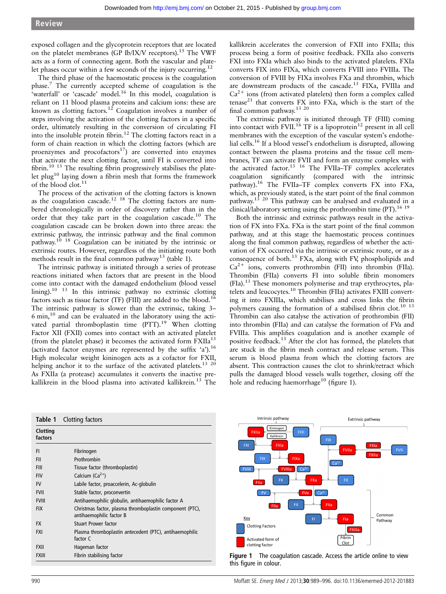exposed collagen and the glycoprotein receptors that are located on the platelet membranes (GP Ib/IX/V receptors).<sup>15</sup> The VWF acts as a form of connecting agent. Both the vascular and platelet phases occur within a few seconds of the injury occurring.<sup>12</sup>

The third phase of the haemostatic process is the coagulation phase.7 The currently accepted scheme of coagulation is the 'waterfall' or 'cascade' model.<sup>16</sup> In this model, coagulation is reliant on 11 blood plasma proteins and calcium ions: these are known as clotting factors.<sup>12</sup> Coagulation involves a number of steps involving the activation of the clotting factors in a specific order, ultimately resulting in the conversion of circulating FI into the insoluble protein fibrin.12 The clotting factors react in a form of chain reaction in which the clotting factors (which are proenzymes and procofactors<sup>17</sup>) are converted into enzymes that activate the next clotting factor, until FI is converted into fibrin.<sup>10 13</sup> The resulting fibrin progressively stabilises the platelet plug10 laying down a fibrin mesh that forms the framework of the blood clot.<sup>11</sup>

The process of the activation of the clotting factors is known as the coagulation cascade.<sup>12 18</sup> The clotting factors are numbered chronologically in order of discovery rather than in the order that they take part in the coagulation cascade.<sup>10</sup> The coagulation cascade can be broken down into three areas: the extrinsic pathway, the intrinsic pathway and the final common pathway.<sup>10 18</sup> Coagulation can be initiated by the intrinsic or extrinsic routes. However, regardless of the initiating route both methods result in the final common pathway<sup>13</sup> (table 1).

The intrinsic pathway is initiated through a series of protease reactions initiated when factors that are present in the blood come into contact with the damaged endothelium (blood vessel lining).<sup>10</sup> <sup>13</sup> In this intrinsic pathway no extrinsic clotting factors such as tissue factor (TF) (FIII) are added to the blood.<sup>16</sup> The intrinsic pathway is slower than the extrinsic, taking 3–  $6 \text{ min}$ , $^{10}$  and can be evaluated in the laboratory using the activated partial thromboplastin time (PTT).<sup>19</sup> When clotting Factor XII (FXII) comes into contact with an activated platelet (from the platelet phase) it becomes the activated form  $FXIIa^{13}$ (activated factor enzymes are represented by the suffix 'a').<sup>16</sup> High molecular weight kininogen acts as a cofactor for FXII, helping anchor it to the surface of the activated platelets.<sup>13 20</sup> As FXIIa (a protease) accumulates it converts the inactive prekallikrein in the blood plasma into activated kallikrein.<sup>13</sup> The

kallikrein accelerates the conversion of FXII into FXIIa; this process being a form of positive feedback. FXIIa also converts FXI into FXIa which also binds to the activated platelets. FXIa converts FIX into FIXa, which converts FVIII into FVIIIa. The conversion of FVIII by FIXa involves FXa and thrombin, which are downstream products of the cascade.<sup>13</sup> FIXa, FVIIIa and  $Ca<sup>2+</sup>$  ions (from activated platelets) then form a complex called tenase<sup>21</sup> that converts  $FX$  into  $FX$ a, which is the start of the final common pathway.<sup>13 20</sup>

The extrinsic pathway is initiated through TF (FIII) coming into contact with FVII.<sup>16</sup> TF is a lipoprotein<sup>12</sup> present in all cell membranes with the exception of the vascular system's endothelial cells.<sup>16</sup> If a blood vessel's endothelium is disrupted, allowing contact between the plasma proteins and the tissue cell membranes, TF can activate FVII and form an enzyme complex with the activated factor.13 16 The FVIIa–TF complex accelerates coagulation significantly (compared with the intrinsic pathway).16 The FVIIa–TF complex converts FX into FXa, which, as previously stated, is the start point of the final common pathway.<sup>13 20</sup> This pathway can be analysed and evaluated in a clinical/laboratory setting using the prothrombin time  $(PT)$ .<sup>16 19</sup>

Both the intrinsic and extrinsic pathways result in the activation of FX into FXa. FXa is the start point of the final common pathway, and at this stage the haemostatic process continues along the final common pathway, regardless of whether the activation of FX occurred via the intrinsic or extrinsic route, or as a consequence of both.<sup>13</sup> FXa, along with FV, phospholipids and  $Ca^{2+}$  ions, converts prothrombin (FII) into thrombin (FIIa). Thrombin (FIIa) converts FI into soluble fibrin monomers (FIa).<sup>13</sup> These monomers polymerise and trap erythrocytes, platelets and leucocytes.<sup>10</sup> Thrombin (FIIa) activates FXIII converting it into FXIIIa, which stabilises and cross links the fibrin polymers causing the formation of a stabilised fibrin clot.<sup>10</sup> <sup>13</sup> Thrombin can also catalyse the activation of prothrombin (FII) into thrombin (FIIa) and can catalyse the formation of FVa and FVIIIa. This amplifies coagulation and is another example of positive feedback.<sup>13</sup> After the clot has formed, the platelets that are stuck in the fibrin mesh contract and release serum. This serum is blood plasma from which the clotting factors are absent. This contraction causes the clot to shrink/retract which pulls the damaged blood vessels walls together, closing off the hole and reducing haemorrhage<sup>10</sup> (figure 1).

| Table 1             | Clotting factors                                                                     |
|---------------------|--------------------------------------------------------------------------------------|
| Clotting<br>factors |                                                                                      |
| FI.                 | Fibrinogen                                                                           |
| FII                 | Prothrombin                                                                          |
| <b>FIII</b>         | Tissue factor (thromboplastin)                                                       |
| <b>FIV</b>          | Calcium $(Ca^{2+})$                                                                  |
| <b>FV</b>           | Labile factor, proaccelerin, Ac-globulin                                             |
| <b>FVII</b>         | Stable factor, proconvertin                                                          |
| <b>FVIII</b>        | Antihaemophilic globulin, antihaemophilic factor A                                   |
| <b>FIX</b>          | Christmas factor, plasma thromboplastin component (PTC),<br>antihaemophilic factor B |
| <b>FX</b>           | <b>Stuart Prower factor</b>                                                          |
| <b>FXI</b>          | Plasma thromboplastin antecedent (PTC), antihaemophilic<br>factor C                  |
| <b>FXII</b>         | Hageman factor                                                                       |
| <b>FXIII</b>        | Fibrin stabilising factor                                                            |



Figure 1 The coagulation cascade. Access the article online to view this figure in colour.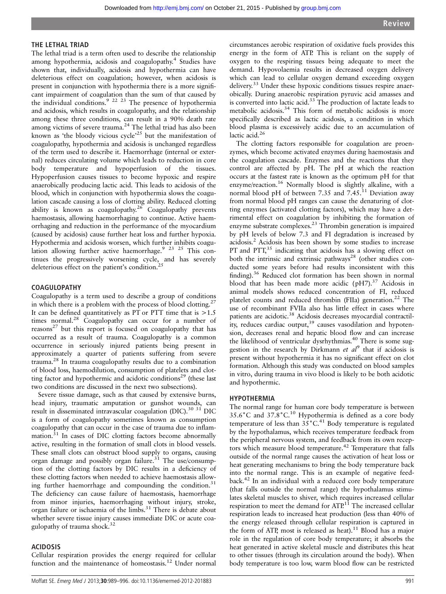#### THE LETHAL TRIAD

The lethal triad is a term often used to describe the relationship among hypothermia, acidosis and coagulopathy.<sup>4</sup> Studies have shown that, individually, acidosis and hypothermia can have deleterious effect on coagulation; however, when acidosis is present in conjunction with hypothermia there is a more significant impairment of coagulation than the sum of that caused by the individual conditions.<sup>9 22 23</sup> The presence of hypothermia and acidosis, which results in coagulopathy, and the relationship among these three conditions, can result in a 90% death rate among victims of severe trauma.<sup>24</sup> The lethal triad has also been known as 'the bloody vicious cycle'<sup>25</sup> but the manifestation of coagulopathy, hypothermia and acidosis is unchanged regardless of the term used to describe it. Haemorrhage (internal or external) reduces circulating volume which leads to reduction in core body temperature and hypoperfusion of the tissues. Hypoperfusion causes tissues to become hypoxic and respire anaerobically producing lactic acid. This leads to acidosis of the blood, which in conjunction with hypothermia slows the coagulation cascade causing a loss of clotting ability. Reduced clotting ability is known as coagulopathy.<sup>26</sup> Coagulopathy prevents haemostasis, allowing haemorrhaging to continue. Active haemorrhaging and reduction in the performance of the myocardium (caused by acidosis) cause further heat loss and further hypoxia. Hypothermia and acidosis worsen, which further inhibits coagulation allowing further active haemorrhage.<sup>9</sup> <sup>23</sup> <sup>25</sup> This continues the progressively worsening cycle, and has severely deleterious effect on the patient's condition.<sup>25</sup>

#### COAGULOPATHY

Coagulopathy is a term used to describe a group of conditions in which there is a problem with the process of blood clotting.<sup>2</sup> It can be defined quantitatively as  $\overline{PT}$  or  $\overline{PTT}$  time that is  $>1.5$ times normal.<sup>28</sup> Coagulopathy can occur for a number of  $reasons<sup>27</sup>$  but this report is focused on coagulopathy that has occurred as a result of trauma. Coagulopathy is a common occurrence in seriously injured patients being present in approximately a quarter of patients suffering from severe trauma.<sup>28</sup> In trauma coagulopathy results due to a combination of blood loss, haemodilution, consumption of platelets and clotting factor and hypothermic and acidotic conditions<sup>29</sup> (these last two conditions are discussed in the next two subsections).

Severe tissue damage, such as that caused by extensive burns, head injury, traumatic amputation or gunshot wounds, can result in disseminated intravascular coagulation (DIC).<sup>30 31</sup> DIC is a form of coagulopathy sometimes known as consumption coagulopathy that can occur in the case of trauma due to inflammation.<sup>31</sup> In cases of DIC clotting factors become abnormally active, resulting in the formation of small clots in blood vessels. These small clots can obstruct blood supply to organs, causing organ damage and possibly organ failure.<sup>31</sup> The use/consumption of the clotting factors by DIC results in a deficiency of these clotting factors when needed to achieve haemostasis allowing further haemorrhage and compounding the condition. $31$ The deficiency can cause failure of haemostasis, haemorrhage from minor injuries, haemorrhaging without injury, stroke, organ failure or ischaemia of the limbs.<sup>31</sup> There is debate about whether severe tissue injury causes immediate DIC or acute coagulopathy of trauma shock.<sup>32</sup>

#### ACIDOSIS

Cellular respiration provides the energy required for cellular function and the maintenance of homeostasis.12 Under normal

circumstances aerobic respiration of oxidative fuels provides this energy in the form of ATP. This is reliant on the supply of oxygen to the respiring tissues being adequate to meet the demand. Hypovolaemia results in decreased oxygen delivery which can lead to cellular oxygen demand exceeding oxygen delivery.<sup>33</sup> Under these hypoxic conditions tissues respire anaerobically. During anaerobic respiration pyruvic acid amasses and is converted into lactic acid.<sup>33</sup> The production of lactate leads to metabolic acidosis.<sup>34</sup> This form of metabolic acidosis is more specifically described as lactic acidosis, a condition in which blood plasma is excessively acidic due to an accumulation of lactic acid.<sup>26</sup>

The clotting factors responsible for coagulation are proenzymes, which become activated enzymes during haemostasis and the coagulation cascade. Enzymes and the reactions that they control are affected by pH. The pH at which the reaction occurs at the fastest rate is known as the optimum pH for that enzyme/reaction.<sup>16</sup> Normally blood is slightly alkaline, with a normal blood pH of between 7.35 and  $7.45<sup>11</sup>$  Deviation away from normal blood pH ranges can cause the denaturing of clotting enzymes (activated clotting factors), which may have a detrimental effect on coagulation by inhibiting the formation of enzyme substrate complexes.23 Thrombin generation is impaired by pH levels of below 7.3 and FI degradation is increased by acidosis.<sup>2</sup> Acidosis has been shown by some studies to increase PT and PTT,<sup>35</sup> indicating that acidosis has a slowing effect on both the intrinsic and extrinsic pathways<sup>28</sup> (other studies conducted some years before had results inconsistent with this finding).<sup>36</sup> Reduced clot formation has been shown in normal blood that has been made more acidic  $(pH7)<sup>37</sup>$  Acidosis in animal models shows reduced concentration of FI, reduced platelet counts and reduced thrombin (FIIa) generation.<sup>22</sup> The use of recombinant FVIIa also has little effect in cases where patients are acidotic.<sup>38</sup> Acidosis decreases myocardial contractility, reduces cardiac output,<sup>39</sup> causes vasodilation and hypotension, decreases renal and hepatic blood flow and can increase the likelihood of ventricular dysrhythmias.<sup>40</sup> There is some suggestion in the research by Dirkmann et  $al^9$  that if acidosis is present without hypothermia it has no significant effect on clot formation. Although this study was conducted on blood samples in vitro, during trauma in vivo blood is likely to be both acidotic and hypothermic.

#### HYPOTHERMIA

The normal range for human core body temperature is between 35.6˚C and 37.8˚C.<sup>10</sup> Hypothermia is defined as a core body temperature of less than  $35^{\circ}$ C.<sup>41</sup> Body temperature is regulated by the hypothalamus, which receives temperature feedback from the peripheral nervous system, and feedback from its own receptors which measure blood temperature.<sup>42</sup> Temperature that falls outside of the normal range causes the activation of heat loss or heat generating mechanisms to bring the body temperature back into the normal range. This is an example of negative feedback.<sup>42</sup> In an individual with a reduced core body temperature (that falls outside the normal range) the hypothalamus stimulates skeletal muscles to shiver, which requires increased cellular respiration to meet the demand for ATP.<sup>11</sup> The increased cellular respiration leads to increased heat production (less than 40% of the energy released through cellular respiration is captured in the form of ATP, most is released as heat).<sup>11</sup> Blood has a major role in the regulation of core body temperature; it absorbs the heat generated in active skeletal muscle and distributes this heat to other tissues (through its circulation around the body). When body temperature is too low, warm blood flow can be restricted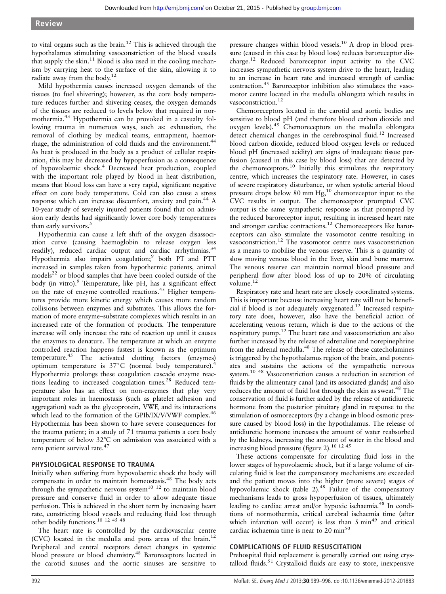to vital organs such as the brain.<sup>12</sup> This is achieved through the hypothalamus stimulating vasoconstriction of the blood vessels that supply the skin.<sup>11</sup> Blood is also used in the cooling mechanism by carrying heat to the surface of the skin, allowing it to radiate away from the body.<sup>12</sup>

Mild hypothermia causes increased oxygen demands of the tissues (to fuel shivering); however, as the core body temperature reduces further and shivering ceases, the oxygen demands of the tissues are reduced to levels below that required in normothermia.<sup>43</sup> Hypothermia can be provoked in a casualty following trauma in numerous ways, such as: exhaustion, the removal of clothing by medical teams, entrapment, haemorrhage, the administration of cold fluids and the environment.<sup>44</sup> As heat is produced in the body as a product of cellular respiration, this may be decreased by hypoperfusion as a consequence of hypovolaemic shock.<sup>4</sup> Decreased heat production, coupled with the important role played by blood in heat distribution, means that blood loss can have a very rapid, significant negative effect on core body temperature. Cold can also cause a stress response which can increase discomfort, anxiety and pain.<sup>44</sup> A 10-year study of severely injured patients found that on admission early deaths had significantly lower core body temperatures than early survivors.<sup>5</sup>

Hypothermia can cause a left shift of the oxygen disassociation curve (causing haemoglobin to release oxygen less readily), reduced cardiac output and cardiac arrhythmias.<sup>34</sup> Hypothermia also impairs coagulation;<sup>9</sup> both PT and PTT increased in samples taken from hypothermic patients, animal models $^{22}$  or blood samples that have been cooled outside of the body (in vitro).<sup>9</sup> Temperature, like pH, has a significant effect on the rate of enzyme controlled reactions.<sup>45</sup> Higher temperatures provide more kinetic energy which causes more random collisions between enzymes and substrates. This allows the formation of more enzyme–substrate complexes which results in an increased rate of the formation of products. The temperature increase will only increase the rate of reaction up until it causes the enzymes to denature. The temperature at which an enzyme controlled reaction happens fastest is known as the optimum temperature.45 The activated clotting factors (enzymes) optimum temperature is 37˚C (normal body temperature).<sup>4</sup> Hypothermia prolongs these coagulation cascade enzyme reactions leading to increased coagulation times.<sup>28</sup> Reduced temperature also has an effect on non-enzymes that play very important roles in haemostasis (such as platelet adhesion and aggregation) such as the glycoprotein, VWF, and its interactions which lead to the formation of the GPIb/IX/V/VWF complex.<sup>46</sup> Hypothermia has been shown to have severe consequences for the trauma patient; in a study of 71 trauma patients a core body temperature of below 32°C on admission was associated with a zero patient survival rate.<sup>47</sup>

#### PHYSIOLOGICAL RESPONSE TO TRAUMA

Initially when suffering from hypovolaemic shock the body will compensate in order to maintain homeostasis.<sup>48</sup> The body acts through the sympathetic nervous system<sup>10</sup><sup>12</sup> to maintain blood pressure and conserve fluid in order to allow adequate tissue perfusion. This is achieved in the short term by increasing heart rate, constricting blood vessels and reducing fluid lost through other bodily functions.10 12 45 48

The heart rate is controlled by the cardiovascular centre (CVC) located in the medulla and pons areas of the brain.12 Peripheral and central receptors detect changes in systemic blood pressure or blood chemistry.<sup>48</sup> Baroreceptors located in the carotid sinuses and the aortic sinuses are sensitive to

pressure changes within blood vessels.<sup>10</sup> A drop in blood pressure (caused in this case by blood loss) reduces baroreceptor discharge.<sup>12</sup> Reduced baroreceptor input activity to the CVC increases sympathetic nervous system drive to the heart, leading to an increase in heart rate and increased strength of cardiac contraction.45 Baroreceptor inhibition also stimulates the vasomotor centre located in the medulla oblongata which results in vasoconstriction.<sup>12</sup>

Chemoreceptors located in the carotid and aortic bodies are sensitive to blood pH (and therefore blood carbon dioxide and oxygen levels).<sup>45</sup> Chemoreceptors on the medulla oblongata detect chemical changes in the cerebrospinal fluid.<sup>12</sup> Increased blood carbon dioxide, reduced blood oxygen levels or reduced blood pH (increased acidity) are signs of inadequate tissue perfusion (caused in this case by blood loss) that are detected by the chemoreceptors.<sup>10</sup> Initially this stimulates the respiratory centre, which increases the respiratory rate. However, in cases of severe respiratory disturbance, or when systolic arterial blood pressure drops below 80 mm Hg,<sup>10</sup> chemoreceptor input to the CVC results in output. The chemoreceptor prompted CVC output is the same sympathetic response as that prompted by the reduced baroreceptor input, resulting in increased heart rate and stronger cardiac contractions.<sup>12</sup> Chemoreceptors like baroreceptors can also stimulate the vasomotor centre resulting in vasoconstriction.12 The vasomotor centre uses vasoconstriction as a means to mobilise the venous reserve. This is a quantity of slow moving venous blood in the liver, skin and bone marrow. The venous reserve can maintain normal blood pressure and peripheral flow after blood loss of up to 20% of circulating volume.<sup>12</sup>

Respiratory rate and heart rate are closely coordinated systems. This is important because increasing heart rate will not be beneficial if blood is not adequately oxygenated.<sup>12</sup> Increased respiratory rate does, however, also have the beneficial action of accelerating venous return, which is due to the actions of the respiratory pump.<sup>12</sup> The heart rate and vasoconstriction are also further increased by the release of adrenaline and norepinephrine from the adrenal medulla.48 The release of these catecholamines is triggered by the hypothalamus region of the brain, and potentiates and sustains the actions of the sympathetic nervous system.10 48 Vasoconstriction causes a reduction in secretion of fluids by the alimentary canal (and its associated glands) and also reduces the amount of fluid lost through the skin as sweat.<sup>48</sup> The conservation of fluid is further aided by the release of antidiuretic hormone from the posterior pituitary gland in response to the stimulation of osmoreceptors (by a change in blood osmotic pressure caused by blood loss) in the hypothalamus. The release of antidiuretic hormone increases the amount of water reabsorbed by the kidneys, increasing the amount of water in the blood and increasing blood pressure (figure 2).<sup>10 12 45</sup>

These actions compensate for circulating fluid loss in the lower stages of hypovolaemic shock, but if a large volume of circulating fluid is lost the compensatory mechanisms are exceeded and the patient moves into the higher (more severe) stages of hypovolaemic shock (table 2).<sup>48</sup> Failure of the compensatory mechanisms leads to gross hypoperfusion of tissues, ultimately leading to cardiac arrest and/or hypoxic ischaemia.<sup>48</sup> In conditions of normothermia, critical cerebral ischaemia time (after which infarction will occur) is less than  $5 \text{ min}^{49}$  and critical cardiac ischaemia time is near to 20 min<sup>50</sup>

#### COMPLICATIONS OF FLUID RESUSCITATION

Prehospital fluid replacement is generally carried out using crystalloid fluids.<sup>51</sup> Crystalloid fluids are easy to store, inexpensive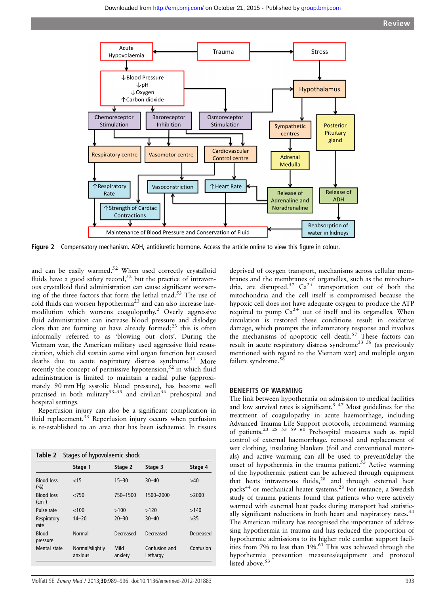

Figure 2 Compensatory mechanism. ADH, antidiuretic hormone. Access the article online to view this figure in colour.

and can be easily warmed.<sup>52</sup> When used correctly crystalloid fluids have a good safety record,<sup>52</sup> but the practice of intravenous crystalloid fluid administration can cause significant worsening of the three factors that form the lethal triad.<sup>53</sup> The use of cold fluids can worsen hypothermia<sup>23</sup> and can also increase haemodilution which worsens coagulopathy.<sup>2</sup> Overly aggressive fluid administration can increase blood pressure and dislodge clots that are forming or have already formed;<sup>23</sup> this is often informally referred to as 'blowing out clots'. During the Vietnam war, the American military used aggressive fluid resuscitation, which did sustain some vital organ function but caused deaths due to acute respiratory distress syndrome.<sup>51</sup> More recently the concept of permissive hypotension,<sup>52</sup> in which fluid administration is limited to maintain a radial pulse (approximately 90 mm Hg systolic blood pressure), has become well practised in both military<sup>53–55</sup> and civilian<sup>56</sup> prehospital and hospital settings.

Reperfusion injury can also be a significant complication in fluid replacement.<sup>33</sup> Reperfusion injury occurs when perfusion is re-established to an area that has been ischaemic. In tissues

|                                      | Stage 1                    | Stage 2         | Stage 3                   | Stage 4   |
|--------------------------------------|----------------------------|-----------------|---------------------------|-----------|
| <b>Blood loss</b><br>$(\% )$         | $<$ 15                     | $15 - 30$       | $30 - 40$                 | >40       |
| <b>Blood loss</b><br>$\text{cm}^3$ ) | < 750                      | 750-1500        | 1500-2000                 | >2000     |
| Pulse rate                           | < 100                      | >100            | >120                      | >140      |
| Respiratory<br>rate                  | $14 - 20$                  | $20 - 30$       | $30 - 40$                 | >35       |
| <b>Blood</b><br>pressure             | <b>Normal</b>              | Decreased       | Decreased                 | Decreased |
| Mental state                         | Normal/slightly<br>anxious | Mild<br>anxiety | Confusion and<br>Lethargy | Confusion |

deprived of oxygen transport, mechanisms across cellular membranes and the membranes of organelles, such as the mitochondria, are disrupted.<sup>57</sup>  $Ca^{2+}$  transportation out of both the mitochondria and the cell itself is compromised because the hypoxic cell does not have adequate oxygen to produce the ATP required to pump  $Ca^{2+}$  out of itself and its organelles. When circulation is restored these conditions result in oxidative damage, which prompts the inflammatory response and involves the mechanisms of apoptotic cell death.<sup>57</sup> These factors can result in acute respiratory distress syndrome<sup>33 58</sup> (as previously mentioned with regard to the Vietnam war) and multiple organ failure syndrome.<sup>58</sup>

## BENEFITS OF WARMING

The link between hypothermia on admission to medical facilities and low survival rates is significant.<sup>5</sup>  $47$  Most guidelines for the treatment of coagulopathy in acute haemorrhage, including Advanced Trauma Life Support protocols, recommend warming of patients.<sup>23</sup> <sup>28</sup> <sup>53</sup> <sup>59</sup> <sup>60</sup> Prehospital measures such as rapid control of external haemorrhage, removal and replacement of wet clothing, insulating blankets (foil and conventional materials) and active warming can all be used to prevent/delay the onset of hypothermia in the trauma patient. $53$  Active warming of the hypothermic patient can be achieved through equipment that heats intravenous fluids, $28$  and through external heat packs<sup>44</sup> or mechanical heater systems.<sup>28</sup> For instance, a Swedish study of trauma patients found that patients who were actively warmed with external heat packs during transport had statistically significant reductions in both heart and respiratory rates.<sup>44</sup> The American military has recognised the importance of addressing hypothermia in trauma and has reduced the proportion of hypothermic admissions to its higher role combat support facilities from 7% to less than 1%.<sup>61</sup> This was achieved through the hypothermia prevention measures/equipment and protocol listed above.<sup>5</sup>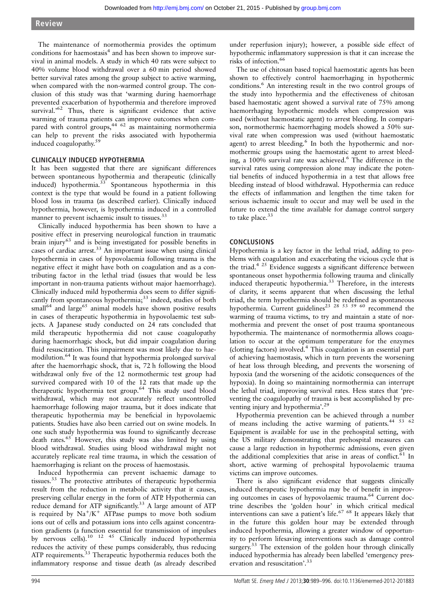The maintenance of normothermia provides the optimum conditions for haemostasis<sup>4</sup> and has been shown to improve survival in animal models. A study in which 40 rats were subject to 40% volume blood withdrawal over a 60 min period showed better survival rates among the group subject to active warming, when compared with the non-warmed control group. The conclusion of this study was that 'warming during haemorrhage prevented exacerbation of hypothermia and therefore improved survival.<sup>'62</sup> Thus, there is significant evidence that active warming of trauma patients can improve outcomes when compared with control groups, $44/62$  as maintaining normothermia can help to prevent the risks associated with hypothermia induced coagulopathy.<sup>59</sup>

# CLINICALLY INDUCED HYPOTHERMIA

It has been suggested that there are significant differences between spontaneous hypothermia and therapeutic (clinically induced) hypothermia.<sup>33</sup> Spontaneous hypothermia in this context is the type that would be found in a patient following blood loss in trauma (as described earlier). Clinically induced hypothermia, however, is hypothermia induced in a controlled manner to prevent ischaemic insult to tissues.<sup>33</sup>

Clinically induced hypothermia has been shown to have a positive effect in preserving neurological function in traumatic brain injury<sup>63</sup> and is being investigated for possible benefits in cases of cardiac arrest.<sup>33</sup> An important issue when using clinical hypothermia in cases of hypovolaemia following trauma is the negative effect it might have both on coagulation and as a contributing factor in the lethal triad (issues that would be less important in non-trauma patients without major haemorrhage). Clinically induced mild hypothermia does seem to differ significantly from spontaneous hypothermia; $33$  indeed, studies of both  $small<sup>64</sup>$  and  $large<sup>65</sup>$  animal models have shown positive results in cases of therapeutic hypothermia in hypovolaemic test subjects. A Japanese study conducted on 24 rats concluded that mild therapeutic hypothermia did not cause coagulopathy during haemorrhagic shock, but did impair coagulation during fluid resuscitation. This impairment was most likely due to haemodilution.<sup>64</sup> It was found that hypothermia prolonged survival after the haemorrhagic shock, that is, 72 h following the blood withdrawal only five of the 12 normothermic test group had survived compared with 10 of the 12 rats that made up the therapeutic hypothermia test group.<sup>64</sup> This study used blood withdrawal, which may not accurately reflect uncontrolled haemorrhage following major trauma, but it does indicate that therapeutic hypothermia may be beneficial in hypovolaemic patients. Studies have also been carried out on swine models. In one such study hypothermia was found to significantly decrease death rates.<sup>65</sup> However, this study was also limited by using blood withdrawal. Studies using blood withdrawal might not accurately replicate real time trauma, in which the cessation of haemorrhaging is reliant on the process of haemostasis.

Induced hypothermia can prevent ischaemic damage to tissues.<sup>33</sup> The protective attributes of therapeutic hypothermia result from the reduction in metabolic activity that it causes, preserving cellular energy in the form of ATP. Hypothermia can reduce demand for ATP significantly.<sup>33</sup> A large amount of ATP is required by  $Na^+/K^+$  ATPase pumps to move both sodium ions out of cells and potassium ions into cells against concentration gradients (a function essential for transmission of impulses by nervous cells).<sup>10 12 45</sup> Clinically induced hypothermia reduces the activity of these pumps considerably, thus reducing ATP requirements.<sup>33</sup> Therapeutic hypothermia reduces both the inflammatory response and tissue death (as already described

under reperfusion injury); however, a possible side effect of hypothermic inflammatory suppression is that it can increase the risks of infection.<sup>66</sup>

The use of chitosan based topical haemostatic agents has been shown to effectively control haemorrhaging in hypothermic conditions.6 An interesting result in the two control groups of the study into hypothermia and the effectiveness of chitosan based haemostatic agent showed a survival rate of 75% among haemorrhaging hypothermic models when compression was used (without haemostatic agent) to arrest bleeding. In comparison, normothermic haemorrhaging models showed a 50% survival rate when compression was used (without haemostatic agent) to arrest bleeding.<sup>6</sup> In both the hypothermic and normothermic groups using the haemostatic agent to arrest bleeding, a 100% survival rate was achieved.<sup>6</sup> The difference in the survival rates using compression alone may indicate the potential benefits of induced hypothermia in a test that allows free bleeding instead of blood withdrawal. Hypothermia can reduce the effects of inflammation and lengthen the time taken for serious ischaemic insult to occur and may well be used in the future to extend the time available for damage control surgery to take place.<sup>33</sup>

# CONCLUSIONS

Hypothermia is a key factor in the lethal triad, adding to problems with coagulation and exacerbating the vicious cycle that is the triad.<sup>4 25</sup> Evidence suggests a significant difference between spontaneous onset hypothermia following trauma and clinically induced therapeutic hypothermia.<sup>33</sup> Therefore, in the interests of clarity, it seems apparent that when discussing the lethal triad, the term hypothermia should be redefined as spontaneous hypothermia. Current guidelines<sup>23</sup> <sup>28</sup> <sup>53</sup> <sup>59</sup> <sup>60</sup> recommend the warming of trauma victims, to try and maintain a state of normothermia and prevent the onset of post trauma spontaneous hypothermia. The maintenance of normothermia allows coagulation to occur at the optimum temperature for the enzymes (clotting factors) involved.4 This coagulation is an essential part of achieving haemostasis, which in turn prevents the worsening of heat loss through bleeding, and prevents the worsening of hypoxia (and the worsening of the acidotic consequences of the hypoxia). In doing so maintaining normothermia can interrupt the lethal triad, improving survival rates. Hess states that 'preventing the coagulopathy of trauma is best accomplished by preventing injury and hypothermia'. 29

Hypothermia prevention can be achieved through a number of means including the active warming of patients.<sup>44 53 62</sup> Equipment is available for use in the prehospital setting, with the US military demonstrating that prehospital measures can cause a large reduction in hypothermic admissions, even given the additional complexities that arise in areas of conflict.<sup>61</sup> In short, active warming of prehospital hypovolaemic trauma victims can improve outcomes.

There is also significant evidence that suggests clinically induced therapeutic hypothermia may be of benefit in improving outcomes in cases of hypovolaemic trauma.<sup>64</sup> Current doctrine describes the 'golden hour' in which critical medical interventions can save a patient's life. $6768$  It appears likely that in the future this golden hour may be extended through induced hypothermia, allowing a greater window of opportunity to perform lifesaving interventions such as damage control surgery.<sup>33</sup> The extension of the golden hour through clinically induced hypothermia has already been labelled 'emergency preservation and resuscitation'. 33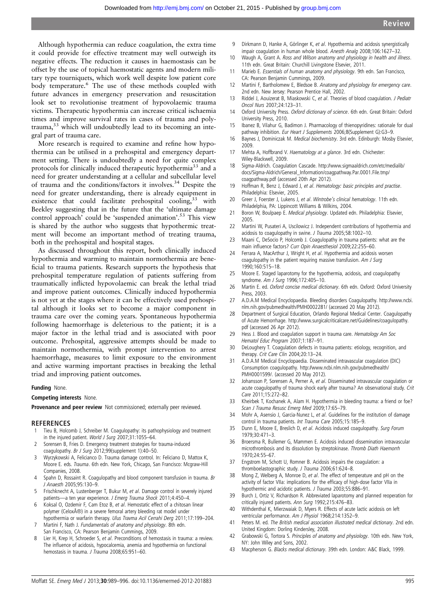Although hypothermia can reduce coagulation, the extra time it could provide for effective treatment may well outweigh its negative effects. The reduction it causes in haemostasis can be offset by the use of topical haemostatic agents and modern military type tourniquets, which work well despite low patient core body temperature.<sup>6</sup> The use of these methods coupled with future advances in emergency preservation and resuscitation look set to revolutionise treatment of hypovolaemic trauma victims. Therapeutic hypothermia can increase critical ischaemia times and improve survival rates in cases of trauma and polytrauma,<sup>33</sup> which will undoubtedly lead to its becoming an integral part of trauma care.

More research is required to examine and refine how hypothermia can be utilised in a prehospital and emergency department setting. There is undoubtedly a need for quite complex protocols for clinically induced therapeutic hypothermia<sup>33</sup> and a need for greater understanding at a cellular and subcellular level of trauma and the conditions/factors it involves.34 Despite the need for greater understanding, there is already equipment in existence that could facilitate prehospital cooling,<sup>33</sup> with Beekley suggesting that in the future that the 'ultimate damage control approach' could be 'suspended animation'. <sup>53</sup> This view is shared by the author who suggests that hypothermic treatment will become an important method of treating trauma, both in the prehospital and hospital stages.

As discussed throughout this report, both clinically induced hypothermia and warming to maintain normothermia are beneficial to trauma patients. Research supports the hypothesis that prehospital temperature regulation of patients suffering from traumatically inflicted hypovolaemic can break the lethal triad and improve patient outcomes. Clinically induced hypothermia is not yet at the stages where it can be effectively used prehospital although it looks set to become a major component in trauma care over the coming years. Spontaneous hypothermia following haemorrhage is deleterious to the patient; it is a major factor in the lethal triad and is associated with poor outcome. Prehospital, aggressive attempts should be made to maintain normothermia, with prompt intervention to arrest haemorrhage, measures to limit exposure to the environment and active warming important practises in breaking the lethal triad and improving patient outcomes.

#### Funding None.

#### Competing interests None.

Provenance and peer review Not commissioned; externally peer reviewed.

#### **REFERENCES**

- 1 Tieu B, Holcomb J, Schreiber M. Coagulopathy: its pathophysiology and treatment in the injured patient. World J Surg 2007;31:1055–64.
- 2 Sorensen B, Fries D. Emergency treatment strategies for trauma-induced coagulopathy. Br J Surg 2012;99(supplement 1):40–50.
- 3 Wyrzykowski A, Felicianco D. Trauma damage control. In: Feliciano D, Mattox K, Moore E. eds. Trauma. 6th edn. New York, Chicago, San Francisco: Mcgraw-Hill Companies, 2008.
- 4 Spahn D, Rossaint R. Coagulopathy and blood component transfusion in trauma. Br J Anaesth 2005;95:130–9.
- 5 Frischknecht A, Lustenberger T, Bukur M, et al. Damage control in severely injured patients—a ten year experience. J Emerg Trauma Shock 2011;4:450–4.
- 6 Koksal O, Ozdemir F, Cam Etoz B, et al. Hemostatic effect of a chitosan linear polymer (Celox®) in a severe femoral artery bleeding rat model under hypothermia or warfarin therapy. Ulus Travma Acil Cerrahi Derg 2011;17:199–204.
- 7 Martini F, Nath J. Fundamentals of anatomy and physiology. 8th edn. San Francisco, CA: Pearson Benjamin Cummings, 2009.
- 8 Lier H, Krep H, Schroeder S, et al. Preconditions of hemostasis in trauma: a review. The influence of acidosis, hypocalcemia, anemia and hypothermia on functional hemostasis in trauma. J Trauma 2008;65:951-60.
- 9 Dirkmann D, Hanke A, Görlinger K, et al. Hypothermia and acidosis synergistically impair coagulation in human whole blood. Anesth Analg 2008;106:1627–32.
- 10 Waugh A, Grant A. Ross and Wilson anatomy and physiology in health and illness. 11th edn. Great Britain: Churchill Livingstone Elsevier, 2011.
- 11 Marieb E. Essentials of human anatomy and physiology. 9th edn. San Francisco, CA: Pearson Benjamin Cummings, 2009.
- 12 Martini F, Bartholomew E, Bledsoe B. Anatomy and physiology for emergency care. 2nd edn. New Jersey: Pearson Prentice Hall, 2002.
- 13 Riddel J, Aouizerat B, Miaskowski C, et al. Theories of blood coagulation. J Pediatr Oncol Nurs 2007;24:123–31.
- 14 Oxford University Press. Oxford dictionary of science. 6th edn. Great Britain: Oxford University Press, 2010.
- 15 Ibanez B, Vilahur G, Badimon J. Pharmacology of thienopyridines: rationale for dual pathway inhibition. Eur Heart J Supplements 2006;8(Supplement G):G3-9.
- 16 Baynes J, Dominiczak M. Medical biochemistry. 3rd edn. Edinburgh: Mosby Elsevier, 2009.
- 17 Mehta A, Hoffbrand V. Haematology at a glance. 3rd edn. Chichester: Wiley-Blackwell, 2009.
- 18 Sigma-Aldrich. Coagulation Cascade. [http://www.sigmaaldrich.com/etc/medialib/](http://www.sigmaaldrich.com/etc/medialib/docs/Sigma-Aldrich/General_Information/coagpathway.Par.0001.File.tmp/coagpathway.pdf) [docs/Sigma-Aldrich/General\\_Information/coagpathway.Par.0001.File.tmp/](http://www.sigmaaldrich.com/etc/medialib/docs/Sigma-Aldrich/General_Information/coagpathway.Par.0001.File.tmp/coagpathway.pdf) [coagpathway.pdf](http://www.sigmaaldrich.com/etc/medialib/docs/Sigma-Aldrich/General_Information/coagpathway.Par.0001.File.tmp/coagpathway.pdf) (accessed 20th Apr 2012).
- Hoffman R, Benz J, Edward J, et al. Hematology: basic principles and practise. Philadelphia: Elsevier, 2005.
- 20 Greer J, Foerster J, Lukens J, et al. Wintrobe's clinical hematology. 11th edn. Philadelphia, PA: Lippincott Williams & Wilkins, 2004.
- 21 Boron W, Boulpaep E. Medical physiology. Updated edn. Philadelphia: Elsevier, 2005.
- 22 Martini W, Pusateri A, Uscilowicz J. Independent contributions of hypothermia and acidosis to coagulopathy in swine. J Trauma 2005;58:1002–10.
- 23 Maani C, DeSocio P, Holcomb J. Coagulopathy in trauma patients: what are the main influence factors? Curr Opin Anaesthesiol 2009;22:255–60.
- 24 Ferrara A, MacArthur J, Wright H, et al. Hypothermia and acidosis worsen coagulopathy in the patient requiring massive transfusion. Am J Surg 1990;160:515–18.
- 25 Moore E. Staged laparotomy for the hypothermia, acidosis, and coagulopathy syndrome. Am J Surg 1996;172:405-10.
- 26 Martin E. ed. Oxford concise medical dictionary. 6th edn. Oxford: Oxford University Press, 2003.
- 27 A.D.A.M Medical Encyclopaedia. Bleeding disorders Coagulopathy. [http://www.ncbi.](http://www.ncbi.nlm.nih.gov/pubmedhealth/PMH0002281/) [nlm.nih.gov/pubmedhealth/PMH0002281/](http://www.ncbi.nlm.nih.gov/pubmedhealth/PMH0002281/) (accessed 20 May 2012).
- 28 Department of Surgical Education, Orlando Regional Medical Center. Coagulopathy of Acute Hemorrhage. [http://www.surgicalcriticalcare.net/Guidelines/coagulopathy.](http://www.surgicalcriticalcare.net/Guidelines/coagulopathy.pdf) [pdf](http://www.surgicalcriticalcare.net/Guidelines/coagulopathy.pdf) (accessed 26 Apr 2012).
- 29 Hess J. Blood and coagulation support in trauma care. Hematology Am Soc Hematol Educ Program 2007;1:187–91.
- 30 DeLoughery T. Coagulation defects in trauma patients: etiology, recognition, and therapy. Crit Care Clin 2004;20:13–24.
- 31 A.D.A.M Medical Encyclopaedia. Disseminated intravascular coagulation (DIC) Consumption coagulopathy. [http://www.ncbi.nlm.nih.gov/pubmedhealth/](http://www.ncbi.nlm.nih.gov/pubmedhealth/PMH0001599/) [PMH0001599/](http://www.ncbi.nlm.nih.gov/pubmedhealth/PMH0001599/). (accessed 20 May 2012).
- 32 Johansson P, Sorensen A, Perner A, et al. Disseminated intravascular coagulation or acute coagulopathy of trauma shock early after trauma? An observational study. Crit Care 2011;15:272–82.
- 33 Kheirbek T, Kochanek A, Alam H. Hypothermia in bleeding trauma: a friend or foe? Scan J Trauma Resusc Emerg Med 2009;17:65–79.
- 34 Mohr A, Asensio J, Garcia-Nunez L, et al. Guidelines for the institution of damage control in trauma patients. Int Trauma Care 2005;15:185–9.
- 35 Dunn E, Moore E, Breslich D, et al. Acidosis induced coagulopathy. Surg Forum 1979;30:471–3.
- 36 Broersma R, Bullemer G, Mammen E. Acidosis induced dissemination intravascular microthrombosis and its dissolution by streptokinase. Thromb Diath Haemorrh 1970;24:55–67.
- 37 Engstrom M, Schott U, Romner B. Acidosis impairs the coagulation: a thromboelastographic study. J Trauma 2006;61:624–8.
- 38 Mong Z, Welberg A, Monroe D, et al. The effect of temperature and pH on the activity of factor VIIa: implications for the efficacy of high-dose factor VIIa in hypothermic and acidotic patients. J Trauma 2003;55:886-91.
- 39 Burch J, Ortiz V, Richardson R. Abbreviated laparotomy and planned reoperation for critically injured patients. Ann Surg 1992;215:476–83.
- 40 Withdenthal K, Mierzwaiak D, Myers R. Effects of acute lactic acidosis on left ventricular performance. Am J Physiol 1968;214:1352–9.
- 41 Peters M. ed. The British medical association illustrated medical dictionary. 2nd edn. United Kingdom: Dorling Kindersley, 2008.
- 42 Grabowski G, Tortora S. Principles of anatomy and physiology. 10th edn. New York, NY: John Wiley and Sons, 2002.
- 43 Macpherson G. Blacks medical dictionary. 39th edn. London: A&C Black, 1999.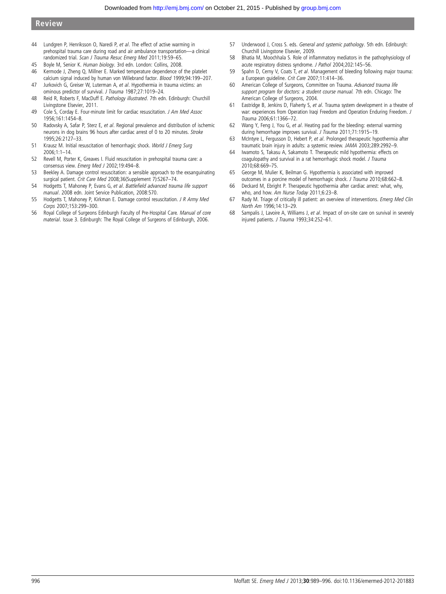- 44 Lundgren P, Henriksson O, Naredi P, et al. The effect of active warming in prehospital trauma care during road and air ambulance transportation—a clinical randomized trial. Scan J Trauma Resuc Emerg Med 2011;19:59–65.
- 
- 45 Boyle M, Senior K. Human biology. 3rd edn. London: Collins, 2008.<br>46 Kermode J, Zheng Q, Millner E. Marked temperature dependence of Kermode J, Zheng Q, Millner E. Marked temperature dependence of the platelet calcium signal induced by human von Willebrand factor. Blood 1999;94:199-207.
- 47 Jurkovich G, Greiser W, Luterman A, et al. Hypothermia in trauma victims: an ominous predictor of survival. J Trauma 1987;27:1019–24.
- 48 Reid R, Roberts F, MacDuff E. Pathology illustrated. 7th edn. Edinburgh: Churchill Livingstone Elsevier, 2011.
- 49 Cole S. Corday E. Four-minute limit for cardiac resuscitation. *J Am Med Assoc* 1956;161:1454–8.
- 50 Radovsky A, Safar P, Sterz E, et al. Regional prevalence and distribution of ischemic neurons in dog brains 96 hours after cardiac arrest of 0 to 20 minutes. Stroke 1995;26:2127–33.
- 51 Krausz M. Initial resuscitation of hemorrhagic shock. World J Emerg Surg 2006;1:1–14.
- 52 Revell M, Porter K, Greaves I. Fluid resuscitation in prehospital trauma care: a consensus view. Emerg Med J 2002;19:494–8.
- 53 Beekley A. Damage control resuscitation: a sensible approach to the exsanguinating surgical patient. Crit Care Med 2008;36(Supplement 7):S267–74.
- 54 Hodgetts T, Mahoney P, Evans G, et al. Battlefield advanced trauma life support manual. 2008 edn. Joint Service Publication, 2008:570.
- 55 Hodgetts T, Mahoney P, Kirkman E. Damage control resuscitation. J R Army Med Corps 2007;153:299-300.
- 56 Royal College of Surgeons Edinburgh Faculty of Pre-Hospital Care. Manual of core material. Issue 3. Edinburgh: The Royal College of Surgeons of Edinburgh, 2006.
- 57 Underwood J, Cross S. eds. General and systemic pathology. 5th edn. Edinburgh: Churchill Livingstone Elsevier, 2009.
- 58 Bhatia M, Moochhala S. Role of inflammatory mediators in the pathophysiology of acute respiratory distress syndrome. J Pathol 2004;202:145–56.
- 59 Spahn D, Cerny V, Coats T, et al. Management of bleeding following major trauma: a European guideline. Crit Care 2007;11:414–36.
- 60 American College of Surgeons, Committee on Trauma. Advanced trauma life support program for doctors: a student course manual. 7th edn. Chicago: The American College of Surgeons, 2004.
- 61 Eastridge B, Jenkins D, Flaherty S, et al. Trauma system development in a theatre of war: experiences from Operation Iraqi Freedom and Operation Enduring Freedom. J Trauma 2006;61:1366–72.
- 62 Wang Y, Feng J, You G, et al. Heating pad for the bleeding: external warming during hemorrhage improves survival. J Trauma 2011;71:1915-19.
- 63 McIntyre L, Fergusson D, Hebert P, et al. Prolonged therapeutic hypothermia after traumatic brain injury in adults: a systemic review. JAMA 2003;289:2992–9.
- 64 Iwamoto S, Takasu A, Sakamoto T. Therapeutic mild hypothermia: effects on coagulopathy and survival in a rat hemorrhagic shock model. J Trauma 2010;68:669–75.
- 65 George M, Mulier K, Beilman G. Hypothermia is associated with improved outcomes in a porcine model of hemorrhagic shock. J Trauma 2010;68:662–8.
- 66 Deckard M, Ebright P. Therapeutic hypothermia after cardiac arrest: what, why, who, and how. Am Nurse Today 2011;6:23–8.
- 67 Rady M. Triage of critically ill patient: an overview of interventions. Emerg Med Clin North Am 1996;14:13–29.
- 68 Sampalis J, Lavoire A, Williams J, et al. Impact of on-site care on survival in severely injured patients. J Trauma 1993;34:252-61.